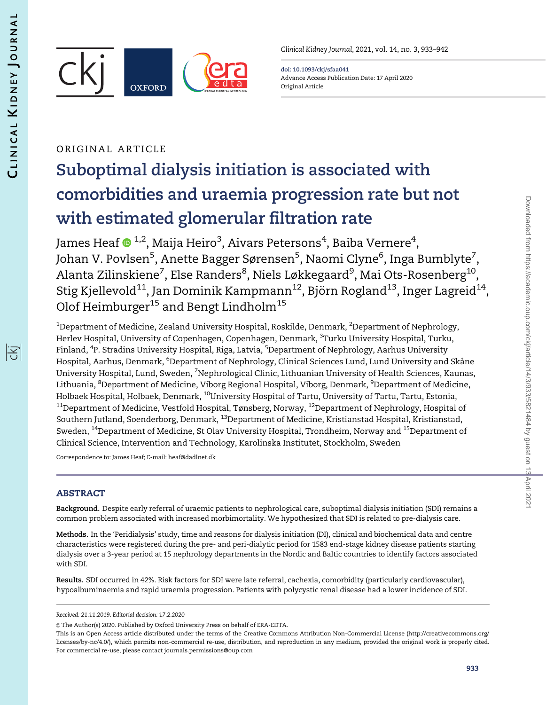序



Clinical Kidney Journal, 2021, vol. 14, no. 3, 933–942

doi: 10.1093/ckj/sfaa041 Advance Access Publication Date: 17 April 2020 Original Article

# ORIGINAL ARTICLE

# Suboptimal dialysis initiation is associated with comorbidities and uraemia progression rate but not with estimated glomerular filtration rate

James Heaf  $\mathbf{O}^{1,2}$ , Maija Heiro $^3$ , Aivars Petersons $^4$ , Baiba Vernere $^4$ , Johan V. Povlsen<sup>5</sup>, Anette Bagger Sørensen<sup>5</sup>, Naomi Clyne<sup>6</sup>, Inga Bumblyte<sup>7</sup>, Alanta Zilinskiene<sup>7</sup>, Else Randers<sup>8</sup>, Niels Løkkegaard<sup>9</sup>, Mai Ots-Rosenberg<sup>10</sup>, Stig Kjellevold<sup>11</sup>, Jan Dominik Kampmann<sup>12</sup>, Björn Rogland<sup>13</sup>, Inger Lagreid<sup>14</sup>, Olof Heimburger<sup>15</sup> and Bengt Lindholm<sup>15</sup>

 $^{\rm 1}$ Department of Medicine, Zealand University Hospital, Roskilde, Denmark,  $^{\rm 2}$ Department of Nephrology, Herlev Hospital, University of Copenhagen, Copenhagen, Denmark, <sup>3</sup>Turku University Hospital, Turku, Finland, <sup>4</sup>P. Stradins University Hospital, Riga, Latvia, <sup>5</sup>Department of Nephrology, Aarhus University Hospital, Aarhus, Denmark, <sup>6</sup>Department of Nephrology, Clinical Sciences Lund, Lund University and Skåne University Hospital, Lund, Sweden, <sup>7</sup>Nephrological Clinic, Lithuanian University of Health Sciences, Kaunas, Lithuania, <sup>8</sup>Department of Medicine, Viborg Regional Hospital, Viborg, Denmark, <sup>9</sup>Department of Medicine, Holbaek Hospital, Holbaek, Denmark, <sup>10</sup>University Hospital of Tartu, University of Tartu, Tartu, Estonia,  $11$ Department of Medicine, Vestfold Hospital, Tønsberg, Norway,  $12$ Department of Nephrology, Hospital of Southern Jutland, Soenderborg, Denmark, <sup>13</sup>Department of Medicine, Kristianstad Hospital, Kristianstad, Sweden, <sup>14</sup>Department of Medicine, St Olav University Hospital, Trondheim, Norway and <sup>15</sup>Department of Clinical Science, Intervention and Technology, Karolinska Institutet, Stockholm, Sweden

Correspondence to: James Heaf; E-mail: heaf@dadlnet.dk

## ABSTRACT

Background. Despite early referral of uraemic patients to nephrological care, suboptimal dialysis initiation (SDI) remains a common problem associated with increased morbimortality. We hypothesized that SDI is related to pre-dialysis care.

Methods. In the 'Peridialysis' study, time and reasons for dialysis initiation (DI), clinical and biochemical data and centre characteristics were registered during the pre- and peri-dialytic period for 1583 end-stage kidney disease patients starting dialysis over a 3-year period at 15 nephrology departments in the Nordic and Baltic countries to identify factors associated with SDI.

Results. SDI occurred in 42%. Risk factors for SDI were late referral, cachexia, comorbidity (particularly cardiovascular), hypoalbuminaemia and rapid uraemia progression. Patients with polycystic renal disease had a lower incidence of SDI.

Received: 21.11.2019. Editorial decision: 17.2.2020

 $\odot$  The Author(s) 2020. Published by Oxford University Press on behalf of ERA-EDTA.

This is an Open Access article distributed under the terms of the Creative Commons Attribution Non-Commercial License (http://creativecommons.org/ licenses/by-nc/4.0/), which permits non-commercial re-use, distribution, and reproduction in any medium, provided the original work is properly cited. For commercial re-use, please contact journals.permissions@oup.com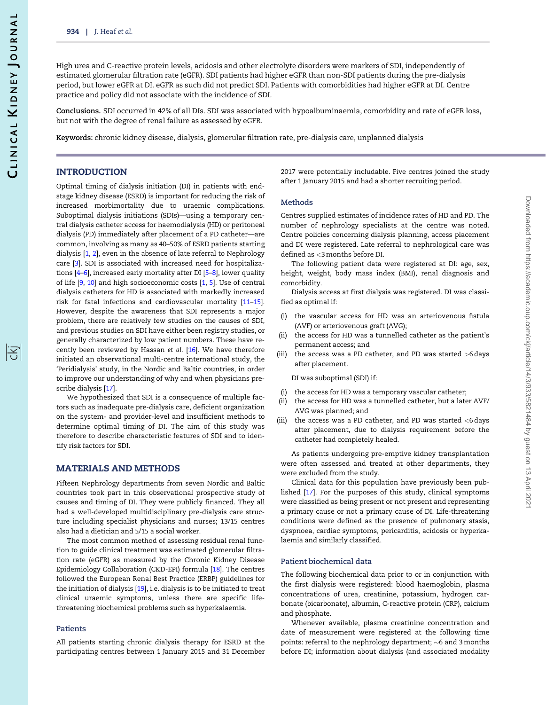<span id="page-1-0"></span>High urea and C-reactive protein levels, acidosis and other electrolyte disorders were markers of SDI, independently of estimated glomerular filtration rate (eGFR). SDI patients had higher eGFR than non-SDI patients during the pre-dialysis period, but lower eGFR at DI. eGFR as such did not predict SDI. Patients with comorbidities had higher eGFR at DI. Centre practice and policy did not associate with the incidence of SDI.

Conclusions. SDI occurred in 42% of all DIs. SDI was associated with hypoalbuminaemia, comorbidity and rate of eGFR loss, but not with the degree of renal failure as assessed by eGFR.

Keywords: chronic kidney disease, dialysis, glomerular filtration rate, pre-dialysis care, unplanned dialysis

## **INTRODUCTION**

Optimal timing of dialysis initiation (DI) in patients with endstage kidney disease (ESRD) is important for reducing the risk of increased morbimortality due to uraemic complications. Suboptimal dialysis initiations (SDIs)—using a temporary central dialysis catheter access for haemodialysis (HD) or peritoneal dialysis (PD) immediately after placement of a PD catheter—are common, involving as many as 40–50% of ESRD patients starting dialysis [[1,](#page-8-0) [2](#page-8-0)], even in the absence of late referral to Nephrology care [[3\]](#page-8-0). SDI is associated with increased need for hospitalizations [\[4](#page-8-0)–[6](#page-8-0)], increased early mortality after DI [\[5–8](#page-8-0)], lower quality of life [\[9](#page-8-0), [10\]](#page-8-0) and high socioeconomic costs [\[1,](#page-8-0) [5](#page-8-0)]. Use of central dialysis catheters for HD is associated with markedly increased risk for fatal infections and cardiovascular mortality [\[11–15\]](#page-8-0). However, despite the awareness that SDI represents a major problem, there are relatively few studies on the causes of SDI, and previous studies on SDI have either been registry studies, or generally characterized by low patient numbers. These have recently been reviewed by Hassan et al. [\[16\]](#page-8-0). We have therefore initiated an observational multi-centre international study, the 'Peridialysis' study, in the Nordic and Baltic countries, in order to improve our understanding of why and when physicians prescribe dialysis [[17\]](#page-8-0).

We hypothesized that SDI is a consequence of multiple factors such as inadequate pre-dialysis care, deficient organization on the system- and provider-level and insufficient methods to determine optimal timing of DI. The aim of this study was therefore to describe characteristic features of SDI and to identify risk factors for SDI.

## MATERIALS AND METHODS

Fifteen Nephrology departments from seven Nordic and Baltic countries took part in this observational prospective study of causes and timing of DI. They were publicly financed. They all had a well-developed multidisciplinary pre-dialysis care structure including specialist physicians and nurses; 13/15 centres also had a dietician and 5/15 a social worker.

The most common method of assessing residual renal function to guide clinical treatment was estimated glomerular filtration rate (eGFR) as measured by the Chronic Kidney Disease Epidemiology Collaboration (CKD-EPI) formula [[18\]](#page-8-0). The centres followed the European Renal Best Practice (ERBP) guidelines for the initiation of dialysis [[19](#page-8-0)], i.e. dialysis is to be initiated to treat clinical uraemic symptoms, unless there are specific lifethreatening biochemical problems such as hyperkalaemia.

## Patients

All patients starting chronic dialysis therapy for ESRD at the participating centres between 1 January 2015 and 31 December 2017 were potentially includable. Five centres joined the study after 1 January 2015 and had a shorter recruiting period.

#### Methods

Centres supplied estimates of incidence rates of HD and PD. The number of nephrology specialists at the centre was noted. Centre policies concerning dialysis planning, access placement and DI were registered. Late referral to nephrological care was defined as <3 months before DI.

The following patient data were registered at DI: age, sex, height, weight, body mass index (BMI), renal diagnosis and comorbidity.

Dialysis access at first dialysis was registered. DI was classified as optimal if:

- the vascular access for HD was an arteriovenous fistula (AVF) or arteriovenous graft (AVG);
- (ii) the access for HD was a tunnelled catheter as the patient's permanent access; and
- (iii) the access was a PD catheter, and PD was started  $>6$  days after placement.

DI was suboptimal (SDI) if:

- (i) the access for HD was a temporary vascular catheter;
- (ii) the access for HD was a tunnelled catheter, but a later AVF/ AVG was planned; and
- (iii) the access was a PD catheter, and PD was started  $<$ 6 days after placement, due to dialysis requirement before the catheter had completely healed.

As patients undergoing pre-emptive kidney transplantation were often assessed and treated at other departments, they were excluded from the study.

Clinical data for this population have previously been published [\[17](#page-8-0)]. For the purposes of this study, clinical symptoms were classified as being present or not present and representing a primary cause or not a primary cause of DI. Life-threatening conditions were defined as the presence of pulmonary stasis, dyspnoea, cardiac symptoms, pericarditis, acidosis or hyperkalaemia and similarly classified.

#### Patient biochemical data

The following biochemical data prior to or in conjunction with the first dialysis were registered: blood haemoglobin, plasma concentrations of urea, creatinine, potassium, hydrogen carbonate (bicarbonate), albumin, C-reactive protein (CRP), calcium and phosphate.

Whenever available, plasma creatinine concentration and date of measurement were registered at the following time points: referral to the nephrology department;  $\sim$ 6 and 3 months before DI; information about dialysis (and associated modality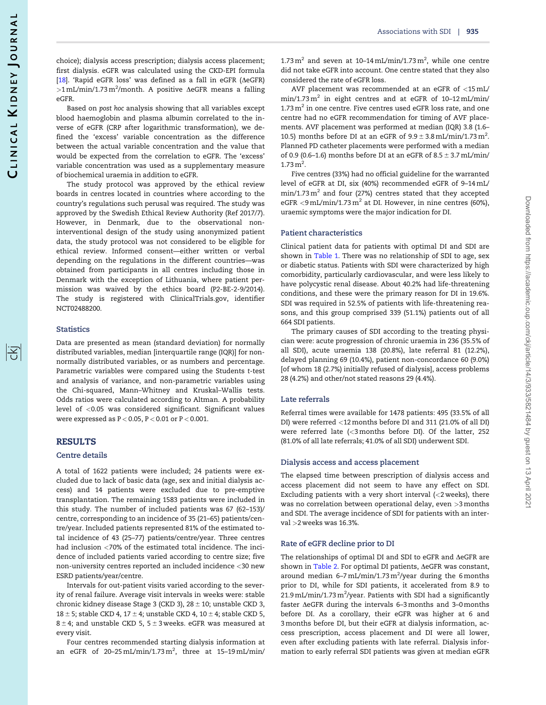序

Associations with SDI | 935

choice); dialysis access prescription; dialysis access placement; first dialysis. eGFR was calculated using the CKD-EPI formula  $[18]$ . 'Rapid eGFR loss' was defined as a fall in eGFR ( $\triangle$ eGFR)  $>1$  mL/min/1.73 m<sup>2</sup>/month. A positive  $\Delta$ eGFR means a falling eGFR.

Based on post hoc analysis showing that all variables except blood haemoglobin and plasma albumin correlated to the inverse of eGFR (CRP after logarithmic transformation), we defined the 'excess' variable concentration as the difference between the actual variable concentration and the value that would be expected from the correlation to eGFR. The 'excess' variable concentration was used as a supplementary measure of biochemical uraemia in addition to eGFR.

The study protocol was approved by the ethical review boards in centres located in countries where according to the country's regulations such perusal was required. The study was approved by the Swedish Ethical Review Authority (Ref 2017/7). However, in Denmark, due to the observational noninterventional design of the study using anonymized patient data, the study protocol was not considered to be eligible for ethical review. Informed consent—either written or verbal depending on the regulations in the different countries—was obtained from participants in all centres including those in Denmark with the exception of Lithuania, where patient permission was waived by the ethics board (P2-BE-2-9/2014). The study is registered with ClinicalTrials.gov, identifier NCT02488200.

## **Statistics**

Data are presented as mean (standard deviation) for normally distributed variables, median [interquartile range (IQR)] for nonnormally distributed variables, or as numbers and percentage. Parametric variables were compared using the Students t-test and analysis of variance, and non-parametric variables using the Chi-squared, Mann–Whitney and Kruskal–Wallis tests. Odds ratios were calculated according to Altman. A probability level of <0.05 was considered significant. Significant values were expressed as  $P < 0.05$ ,  $P < 0.01$  or  $P < 0.001$ .

## RESULTS

#### Centre details

A total of 1622 patients were included; 24 patients were excluded due to lack of basic data (age, sex and initial dialysis access) and 14 patients were excluded due to pre-emptive transplantation. The remaining 1583 patients were included in this study. The number of included patients was 67 (62–153)/ centre, corresponding to an incidence of 35 (21–65) patients/centre/year. Included patients represented 81% of the estimated total incidence of 43 (25–77) patients/centre/year. Three centres had inclusion <70% of the estimated total incidence. The incidence of included patients varied according to centre size; five non-university centres reported an included incidence <30 new ESRD patients/year/centre.

Intervals for out-patient visits varied according to the severity of renal failure. Average visit intervals in weeks were: stable chronic kidney disease Stage 3 (CKD 3),  $28 \pm 10$ ; unstable CKD 3, 18  $\pm$  5; stable CKD 4, 17  $\pm$  4; unstable CKD 4, 10  $\pm$  4; stable CKD 5,  $8 \pm 4$ ; and unstable CKD 5, 5  $\pm$  3 weeks. eGFR was measured at every visit.

Four centres recommended starting dialysis information at an eGFR of 20–25 mL/min/1.73 m<sup>2</sup>, three at 15–19 mL/min/

 $1.73 \text{ m}^2$  and seven at 10-14 mL/min/1.73 m<sup>2</sup>, while one centre did not take eGFR into account. One centre stated that they also considered the rate of eGFR loss.

AVF placement was recommended at an eGFR of <15 mL/  $min/1.73 m<sup>2</sup>$  in eight centres and at eGFR of 10-12 mL/min/  $1.73 \text{ m}^2$  in one centre. Five centres used eGFR loss rate, and one centre had no eGFR recommendation for timing of AVF placements. AVF placement was performed at median (IQR) 3.8 (1.6– 10.5) months before DI at an eGFR of  $9.9 \pm 3.8$  mL/min/1.73 m<sup>2</sup>. Planned PD catheter placements were performed with a median of 0.9 (0.6–1.6) months before DI at an eGFR of  $8.5 \pm 3.7$  mL/min/  $1.73 \,\mathrm{m}^2$ .

Five centres (33%) had no official guideline for the warranted level of eGFR at DI, six (40%) recommended eGFR of 9–14 mL/  $min/1.73 m<sup>2</sup>$  and four (27%) centres stated that they accepted eGFR  $\leq$ 9 mL/min/1.73 m<sup>2</sup> at DI. However, in nine centres (60%), uraemic symptoms were the major indication for DI.

## Patient characteristics

Clinical patient data for patients with optimal DI and SDI are shown in [Table 1](#page-3-0). There was no relationship of SDI to age, sex or diabetic status. Patients with SDI were characterized by high comorbidity, particularly cardiovascular, and were less likely to have polycystic renal disease. About 40.2% had life-threatening conditions, and these were the primary reason for DI in 19.6%. SDI was required in 52.5% of patients with life-threatening reasons, and this group comprised 339 (51.1%) patients out of all 664 SDI patients.

The primary causes of SDI according to the treating physician were: acute progression of chronic uraemia in 236 (35.5% of all SDI), acute uraemia 138 (20.8%), late referral 81 (12.2%), delayed planning 69 (10.4%), patient non-concordance 60 (9.0%) [of whom 18 (2.7%) initially refused of dialysis], access problems 28 (4.2%) and other/not stated reasons 29 (4.4%).

#### Late referrals

Referral times were available for 1478 patients: 495 (33.5% of all DI) were referred <12 months before DI and 311 (21.0% of all DI) were referred late (<3 months before DI). Of the latter, 252 (81.0% of all late referrals; 41.0% of all SDI) underwent SDI.

#### Dialysis access and access placement

The elapsed time between prescription of dialysis access and access placement did not seem to have any effect on SDI. Excluding patients with a very short interval  $\left($  < 2 weeks), there was no correlation between operational delay, even >3 months and SDI. The average incidence of SDI for patients with an interval >2 weeks was 16.3%.

## Rate of eGFR decline prior to DI

The relationships of optimal DI and SDI to eGFR and  $\triangle$ eGFR are shown in [Table 2](#page-4-0). For optimal DI patients, AeGFR was constant, around median 6-7 mL/min/1.73 m<sup>2</sup>/year during the 6 months prior to DI, while for SDI patients, it accelerated from 8.9 to  $21.9\,\mathrm{mL/min}/1.73\,\mathrm{m^2/year}$ . Patients with SDI had a significantly faster  $\triangle$ eGFR during the intervals 6–3 months and 3–0 months before DI. As a corollary, their eGFR was higher at 6 and 3 months before DI, but their eGFR at dialysis information, access prescription, access placement and DI were all lower, even after excluding patients with late referral. Dialysis information to early referral SDI patients was given at median eGFR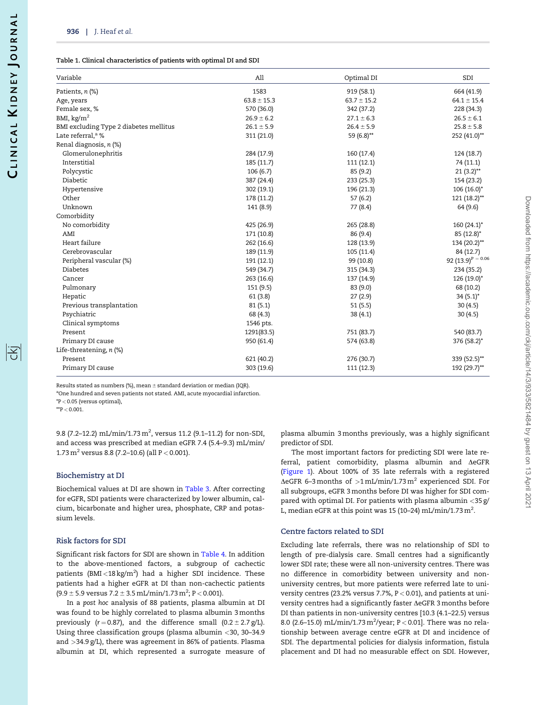#### <span id="page-3-0"></span>Table 1. Clinical characteristics of patients with optimal DI and SDI

| Variable                               | All             | Optimal DI      | SDI                    |
|----------------------------------------|-----------------|-----------------|------------------------|
| Patients, n (%)                        | 1583            | 919 (58.1)      | 664 (41.9)             |
| Age, years                             | $63.8 \pm 15.3$ | $63.7 \pm 15.2$ | $64.1 \pm 15.4$        |
| Female sex, %                          | 570 (36.0)      | 342 (37.2)      | 228 (34.3)             |
| BMI, $kg/m2$                           | $26.9 \pm 6.2$  | $27.1 \pm 6.3$  | $26.5 \pm 6.1$         |
| BMI excluding Type 2 diabetes mellitus | $26.1 \pm 5.9$  | $26.4 \pm 5.9$  | $25.8 \pm 5.8$         |
| Late referral, <sup>a</sup> %          | 311 (21.0)      | 59 (6.8)**      | 252 (41.0)**           |
| Renal diagnosis, n (%)                 |                 |                 |                        |
| Glomerulonephritis                     | 284 (17.9)      | 160 (17.4)      | 124 (18.7)             |
| Interstitial                           | 185 (11.7)      | 111 (12.1)      | 74 (11.1)              |
| Polycystic                             | 106(6.7)        | 85 (9.2)        | $21(3.2)$ **           |
| Diabetic                               | 387 (24.4)      | 233 (25.3)      | 154 (23.2)             |
| Hypertensive                           | 302 (19.1)      | 196 (21.3)      | $106(16.0)^*$          |
| Other                                  | 178 (11.2)      | 57(6.2)         | $121 (18.2)$ **        |
| Unknown                                | 141 (8.9)       | 77 (8.4)        | 64 (9.6)               |
| Comorbidity                            |                 |                 |                        |
| No comorbidity                         | 425 (26.9)      | 265 (28.8)      | $160(24.1)^*$          |
| AMI                                    | 171 (10.8)      | 86 (9.4)        | 85 (12.8)*             |
| Heart failure                          | 262 (16.6)      | 128 (13.9)      | 134 (20.2)**           |
| Cerebrovascular                        | 189 (11.9)      | 105 (11.4)      | 84 (12.7)              |
| Peripheral vascular (%)                | 191 (12.1)      | 99 (10.8)       | 92 $(13.9)^P = 0.06$   |
| Diabetes                               | 549 (34.7)      | 315 (34.3)      | 234 (35.2)             |
| Cancer                                 | 263 (16.6)      | 137 (14.9)      | 126 (19.0)*            |
| Pulmonary                              | 151 (9.5)       | 83 (9.0)        | 68 (10.2)              |
| Hepatic                                | 61(3.8)         | 27(2.9)         | $34(5.1)$ <sup>*</sup> |
| Previous transplantation               | 81(5.1)         | 51(5.5)         | 30(4.5)                |
| Psychiatric                            | 68 (4.3)        | 38(4.1)         | 30(4.5)                |
| Clinical symptoms                      | 1546 pts.       |                 |                        |
| Present                                | 1291(83.5)      | 751 (83.7)      | 540 (83.7)             |
| Primary DI cause                       | 950 (61.4)      | 574 (63.8)      | 376 (58.2)*            |
| Life-threatening, n (%)                |                 |                 |                        |
| Present                                | 621 (40.2)      | 276 (30.7)      | 339 (52.5)**           |
| Primary DI cause                       | 303 (19.6)      | 111 (12.3)      | 192 (29.7)**           |

Results stated as numbers (%), mean  $\pm$  standard deviation or median (IQR).

<sup>a</sup>One hundred and seven patients not stated. AMI, acute myocardial infarction.

\*P < 0.05 (versus optimal),

 $*$ \*P < 0.001.

9.8 (7.2–12.2) mL/min/1.73 m<sup>2</sup>, versus 11.2 (9.1–11.2) for non-SDI, and access was prescribed at median eGFR 7.4 (5.4–9.3) mL/min/ 1.73  $m^2$  versus 8.8 (7.2–10.6) (all P < 0.001).

## Biochemistry at DI

Biochemical values at DI are shown in [Table 3.](#page-5-0) After correcting for eGFR, SDI patients were characterized by lower albumin, calcium, bicarbonate and higher urea, phosphate, CRP and potassium levels.

## Risk factors for SDI

Significant risk factors for SDI are shown in [Table 4](#page-5-0). In addition to the above-mentioned factors, a subgroup of cachectic patients  $(BMI < 18 \text{ kg/m}^2)$  had a higher SDI incidence. These patients had a higher eGFR at DI than non-cachectic patients (9.9  $\pm$  5.9 versus 7.2  $\pm$  3.5 mL/min/1.73 m<sup>2</sup>; P < 0.001).

In a post hoc analysis of 88 patients, plasma albumin at DI was found to be highly correlated to plasma albumin 3 months previously ( $r = 0.87$ ), and the difference small ( $0.2 \pm 2.7$  g/L). Using three classification groups (plasma albumin <30, 30–34.9 and >34.9 g/L), there was agreement in 86% of patients. Plasma albumin at DI, which represented a surrogate measure of plasma albumin 3 months previously, was a highly significant predictor of SDI.

The most important factors for predicting SDI were late referral, patient comorbidity, plasma albumin and  $\triangle$ eGFR [\(Figure 1\)](#page-6-0). About 100% of 35 late referrals with a registered  $\triangle$ eGFR 6–3 months of >1 mL/min/1.73 m<sup>2</sup> experienced SDI. For all subgroups, eGFR 3 months before DI was higher for SDI compared with optimal DI. For patients with plasma albumin <35 g/ L, median eGFR at this point was 15 (10–24) mL/min/1.73  $m^2$ .

## Centre factors related to SDI

Excluding late referrals, there was no relationship of SDI to length of pre-dialysis care. Small centres had a significantly lower SDI rate; these were all non-university centres. There was no difference in comorbidity between university and nonuniversity centres, but more patients were referred late to university centres (23.2% versus 7.7%, P < 0.01), and patients at university centres had a significantly faster AeGFR 3 months before DI than patients in non-university centres [10.3 (4.1–22.5) versus 8.0 (2.6-15.0) mL/min/1.73 m<sup>2</sup>/year; P < 0.01]. There was no relationship between average centre eGFR at DI and incidence of SDI. The departmental policies for dialysis information, fistula placement and DI had no measurable effect on SDI. However,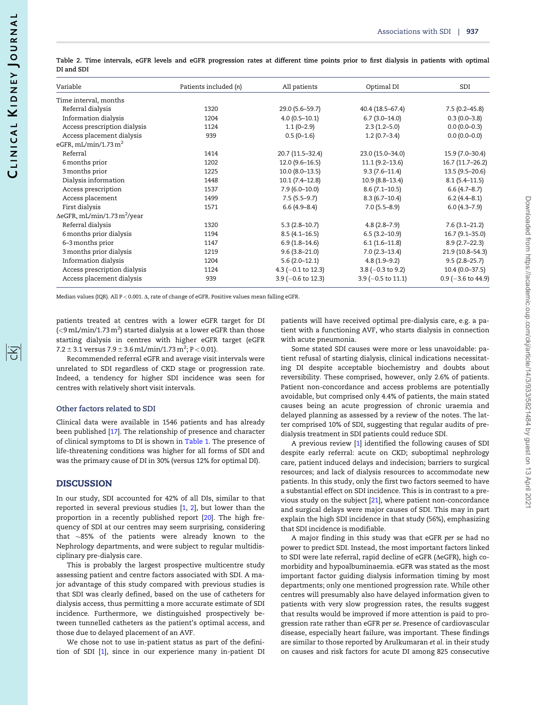| Variable                                        | Patients included (n) | All patients          | Optimal DI           | SDI                  |
|-------------------------------------------------|-----------------------|-----------------------|----------------------|----------------------|
| Time interval, months                           |                       |                       |                      |                      |
| Referral dialysis                               | 1320                  | 29.0 (5.6-59.7)       | 40.4 (18.5–67.4)     | $7.5(0.2 - 45.8)$    |
| Information dialysis                            | 1204                  | $4.0(0.5-10.1)$       | $6.7(3.0-14.0)$      | $0.3(0.0-3.8)$       |
| Access prescription dialysis                    | 1124                  | $1.1(0-2.9)$          | $2.3(1.2 - 5.0)$     | $0.0(0.0-0.3)$       |
| Access placement dialysis                       | 939                   | $0.5(0-1.6)$          | $1.2(0.7-3.4)$       | $0.0(0.0-0.0)$       |
| eGFR, mL/min/1.73 $m2$                          |                       |                       |                      |                      |
| Referral                                        | 1414                  | 20.7 (11.5-32.4)      | 23.0 (15.0-34.0)     | 15.9 (7.0-30.4)      |
| 6 months prior                                  | 1202                  | $12.0(9.6-16.5)$      | $11.1(9.2 - 13.6)$   | 16.7 (11.7-26.2)     |
| 3 months prior                                  | 1225                  | $10.0 (8.0 - 13.5)$   | $9.3(7.6-11.4)$      | $13.5(9.5-20.6)$     |
| Dialysis information                            | 1448                  | $10.1 (7.4 - 12.8)$   | 10.9 (8.8-13.4)      | $8.1(5.4-11.5)$      |
| Access prescription                             | 1537                  | $7.9(6.0-10.0)$       | $8.6(7.1-10.5)$      | $6.6(4.7 - 8.7)$     |
| Access placement                                | 1499                  | $7.5(5.5-9.7)$        | $8.3(6.7-10.4)$      | $6.2(4.4 - 8.1)$     |
| First dialysis                                  | 1571                  | $6.6(4.9 - 8.4)$      | $7.0(5.5-8.9)$       | $6.0(4.3 - 7.9)$     |
| $\Delta$ eGFR, mL/min/1.73 m <sup>2</sup> /year |                       |                       |                      |                      |
| Referral dialysis                               | 1320                  | $5.3(2.8-10.7)$       | $4.8(2.8 - 7.9)$     | $7.6(3.1 - 21.2)$    |
| 6 months prior dialysis                         | 1194                  | $8.5(4.1-16.5)$       | $6.5(3.2-10.9)$      | $16.7(9.1-35.0)$     |
| 6-3 months prior                                | 1147                  | $6.9(1.8-14.6)$       | $6.1(1.6-11.8)$      | $8.9(2.7-22.3)$      |
| 3 months prior dialysis                         | 1219                  | $9.6(3.8-21.0)$       | $7.0(2.3-13.4)$      | 21.9 (10.8-54.3)     |
| Information dialysis                            | 1204                  | $5.6(2.0-12.1)$       | $4.8(1.9-9.2)$       | $9.5(2.8-25.7)$      |
| Access prescription dialysis                    | 1124                  | 4.3 ( $-0.1$ to 12.3) | $3.8$ (-0.3 to 9.2)  | $10.4(0.0-37.5)$     |
| Access placement dialysis                       | 939                   | $3.9$ (-0.6 to 12.3)  | $3.9$ (-0.5 to 11.1) | $0.9$ (-3.6 to 44.9) |
|                                                 |                       |                       |                      |                      |

<span id="page-4-0"></span>Table 2. Time intervals, eGFR levels and eGFR progression rates at different time points prior to first dialysis in patients with optimal DI and SDI

Median values (IQR). All  $P < 0.001$ .  $\Delta$ , rate of change of eGFR. Positive values mean falling eGFR.

patients treated at centres with a lower eGFR target for DI (<9 mL/min/1.73 m<sup>2</sup>) started dialysis at a lower eGFR than those starting dialysis in centres with higher eGFR target (eGFR 7.2  $\pm$  3.1 versus 7.9  $\pm$  3.6 mL/min/1.73 m<sup>2</sup>; P < 0.01).

Recommended referral eGFR and average visit intervals were unrelated to SDI regardless of CKD stage or progression rate. Indeed, a tendency for higher SDI incidence was seen for centres with relatively short visit intervals.

### Other factors related to SDI

Clinical data were available in 1546 patients and has already been published [[17](#page-8-0)]. The relationship of presence and character of clinical symptoms to DI is shown in [Table 1](#page-3-0). The presence of life-threatening conditions was higher for all forms of SDI and was the primary cause of DI in 30% (versus 12% for optimal DI).

#### **DISCUSSION**

In our study, SDI accounted for 42% of all DIs, similar to that reported in several previous studies [\[1,](#page-8-0) [2\]](#page-8-0), but lower than the proportion in a recently published report [[20](#page-8-0)]. The high frequency of SDI at our centres may seem surprising, considering that  ${\sim}{85\%}$  of the patients were already known to the Nephrology departments, and were subject to regular multidisciplinary pre-dialysis care.

This is probably the largest prospective multicentre study assessing patient and centre factors associated with SDI. A major advantage of this study compared with previous studies is that SDI was clearly defined, based on the use of catheters for dialysis access, thus permitting a more accurate estimate of SDI incidence. Furthermore, we distinguished prospectively between tunnelled catheters as the patient's optimal access, and those due to delayed placement of an AVF.

We chose not to use in-patient status as part of the definition of SDI [\[1](#page-8-0)], since in our experience many in-patient DI patients will have received optimal pre-dialysis care, e.g. a patient with a functioning AVF, who starts dialysis in connection with acute pneumonia.

Some stated SDI causes were more or less unavoidable: patient refusal of starting dialysis, clinical indications necessitating DI despite acceptable biochemistry and doubts about reversibility. These comprised, however, only 2.6% of patients. Patient non-concordance and access problems are potentially avoidable, but comprised only 4.4% of patients, the main stated causes being an acute progression of chronic uraemia and delayed planning as assessed by a review of the notes. The latter comprised 10% of SDI, suggesting that regular audits of predialysis treatment in SDI patients could reduce SDI.

A previous review [[1\]](#page-8-0) identified the following causes of SDI despite early referral: acute on CKD; suboptimal nephrology care, patient induced delays and indecision; barriers to surgical resources; and lack of dialysis resources to accommodate new patients. In this study, only the first two factors seemed to have a substantial effect on SDI incidence. This is in contrast to a previous study on the subject [\[21\]](#page-8-0), where patient non-concordance and surgical delays were major causes of SDI. This may in part explain the high SDI incidence in that study (56%), emphasizing that SDI incidence is modifiable.

A major finding in this study was that eGFR per se had no power to predict SDI. Instead, the most important factors linked to SDI were late referral, rapid decline of eGFR ( $\triangle$ eGFR), high comorbidity and hypoalbuminaemia. eGFR was stated as the most important factor guiding dialysis information timing by most departments; only one mentioned progression rate. While other centres will presumably also have delayed information given to patients with very slow progression rates, the results suggest that results would be improved if more attention is paid to progression rate rather than eGFR per se. Presence of cardiovascular disease, especially heart failure, was important. These findings are similar to those reported by Arulkumaran et al. in their study on causes and risk factors for acute DI among 825 consecutive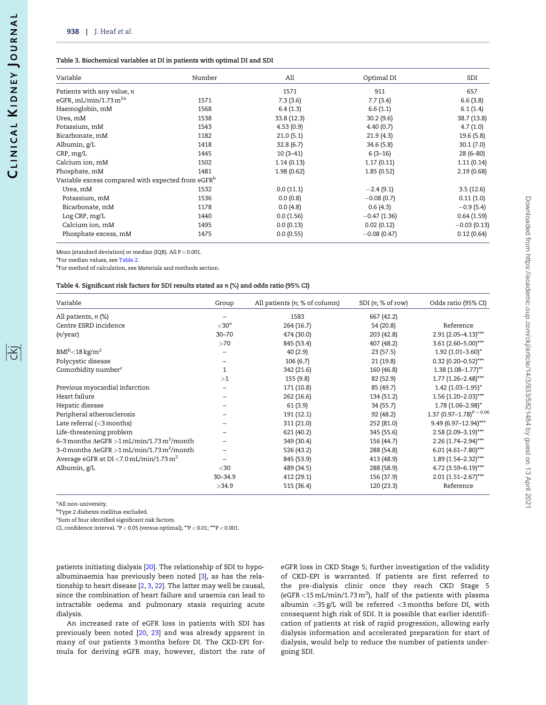### <span id="page-5-0"></span>Table 3. Biochemical variables at DI in patients with optimal DI and SDI

| Variable                                                      | Number | All         | Optimal DI    | SDI           |
|---------------------------------------------------------------|--------|-------------|---------------|---------------|
| Patients with any value, n                                    |        | 1571        | 911           | 657           |
| eGFR, $mL/min/1.73 m2a$                                       | 1571   | 7.3(3.6)    | 7.7(3.4)      | 6.6(3.8)      |
| Haemoglobin, mM                                               | 1568   | 6.4(1.3)    | 6.6(1.1)      | 6.1(1.4)      |
| Urea, mM                                                      | 1538   | 33.8 (12.3) | 30.2(9.6)     | 38.7 (13.8)   |
| Potassium, mM                                                 | 1543   | 4.53(0.9)   | 4.40(0.7)     | 4.7(1.0)      |
| Bicarbonate, mM                                               | 1182   | 21.0(5.1)   | 21.9(4.3)     | 19.6 (5.8)    |
| Albumin, g/L                                                  | 1418   | 32.8(6.7)   | 34.6(5.8)     | 30.1(7.0)     |
| CRP, mg/L                                                     | 1445   | $10(3-41)$  | $6(3-16)$     | $28(6-80)$    |
| Calcium ion, mM                                               | 1502   | 1.14(0.13)  | 1.17(0.11)    | 1.11(0.14)    |
| Phosphate, mM                                                 | 1481   | 1.98(0.62)  | 1.85(0.52)    | 2.19(0.68)    |
| Variable excess compared with expected from eGFR <sup>b</sup> |        |             |               |               |
| Urea, mM                                                      | 1532   | 0.0(11.1)   | $-2.4(9.1)$   | 3.5(12.6)     |
| Potassium, mM                                                 | 1536   | 0.0(0.8)    | $-0.08(0.7)$  | 0.11(1.0)     |
| Bicarbonate, mM                                               | 1178   | 0.0(4.8)    | 0.6(4.3)      | $-0.9(5.4)$   |
| Log CRP, mg/L                                                 | 1440   | 0.0(1.56)   | $-0.47(1.36)$ | 0.64(1.59)    |
| Calcium ion, mM                                               | 1495   | 0.0(0.13)   | 0.02(0.12)    | $-0.03(0.13)$ |
| Phosphate excess, mM                                          | 1475   | 0.0(0.55)   | $-0.08(0.47)$ | 0.12(0.64)    |

Mean (standard deviation) or median (IQR). All P < 0.001.

<sup>a</sup>For median values, see [Table 2.](#page-4-0)

<sup>b</sup>For method of calculation, see Materials and methods section.

#### Table 4. Significant risk factors for SDI results stated as n (%) and odds ratio (95% CI)

| Variable                                                               | Group             | All patients (n; % of column) | SDI $(n; % of row)$ | Odds ratio (95% CI)             |
|------------------------------------------------------------------------|-------------------|-------------------------------|---------------------|---------------------------------|
| All patients, n (%)                                                    |                   | 1583                          | 667 (42.2)          |                                 |
| Centre ESRD incidence                                                  | $<$ 30 $^{\rm a}$ | 264(16.7)                     | 54 (20.8)           | Reference                       |
| (n/year)                                                               | $30 - 70$         | 474 (30.0)                    | 203 (42.8)          | 2.91 (2.05-4.13)***             |
|                                                                        | >70               | 845 (53.4)                    | 407 (48.2)          | 3.61 (2.60-5.00)***             |
| $BMl^b<$ 18 kg/m <sup>2</sup>                                          |                   | 40(2.9)                       | 23(57.5)            | $1.92(1.01 - 3.60)^{*}$         |
| Polycystic disease                                                     |                   | 106(6.7)                      | 21(19.8)            | $0.32$ (0.20-0.52)***           |
| Comorbidity number <sup>c</sup>                                        | 1                 | 342 (21.6)                    | 160 (46.8)          | $1.38(1.08 - 1.77)$ **          |
|                                                                        | >1                | 155 (9.8)                     | 82 (52.9)           | 1.77 (1.26-2.48)***             |
| Previous myocardial infarction                                         |                   | 171 (10.8)                    | 85 (49.7)           | $1.42$ (1.03-1.95) <sup>*</sup> |
| Heart failure                                                          |                   | 262 (16.6)                    | 134 (51.2)          | $1.56(1.20-2.03)$ ***           |
| Hepatic disease                                                        |                   | 61(3.9)                       | 34 (55.7)           | 1.78 (1.06-2.98)*               |
| Peripheral atherosclerosis                                             |                   | 191 (12.1)                    | 92 (48.2)           | 1.37 $(0.97-1.78)^P = 0.06$     |
| Late referral $\left\langle \langle 3 \text{ months} \rangle \right\}$ |                   | 311 (21.0)                    | 252 (81.0)          | 9.49 (6.97-12.94)***            |
| Life-threatening problem                                               |                   | 621 (40.2)                    | 345 (55.6)          | 2.58 (2.09-3.19)***             |
| 6–3 months $\Delta$ eGFR > 1 mL/min/1.73 m <sup>2</sup> /month         |                   | 349 (30.4)                    | 156 (44.7)          | 2.26 (1.74-2.94)***             |
| 3–0 months $\Delta e$ GFR > 1 mL/min/1.73 m <sup>2</sup> /month        |                   | 526 (43.2)                    | 288 (54.8)          | $6.01(4.61 - 7.80)$ ***         |
| Average eGFR at $DI < 7.0$ mL/min/1.73 m <sup>2</sup>                  |                   | 845 (53.9)                    | 413 (48.9)          | 1.89 (1.54-2.32)***             |
| Albumin, g/L                                                           | $<$ 30            | 489 (34.5)                    | 288 (58.9)          | 4.72 (3.59-6.19)***             |
|                                                                        | $30 - 34.9$       | 412 (29.1)                    | 156 (37.9)          | $2.01(1.51 - 2.67)$ ***         |
|                                                                        | >34.9             | 515 (36.4)                    | 120 (23.3)          | Reference                       |

<sup>a</sup>All non-university.

<sup>b</sup>Type 2 diabetes mellitus excluded.

<sup>c</sup>Sum of four identified significant risk factors.

CI, confidence interval. \*P < 0.05 (versus optimal); \*\*P < 0.01; \*\*\*P < 0.001.

patients initiating dialysis [[20](#page-8-0)]. The relationship of SDI to hypoalbuminaemia has previously been noted [\[3\]](#page-8-0), as has the relationship to heart disease [[2,](#page-8-0) [3,](#page-8-0) [22](#page-8-0)]. The latter may well be causal, since the combination of heart failure and uraemia can lead to intractable oedema and pulmonary stasis requiring acute dialysis.

An increased rate of eGFR loss in patients with SDI has previously been noted [[20](#page-8-0), [23](#page-8-0)] and was already apparent in many of our patients 3 months before DI. The CKD-EPI formula for deriving eGFR may, however, distort the rate of eGFR loss in CKD Stage 5; further investigation of the validity of CKD-EPI is warranted. If patients are first referred to the pre-dialysis clinic once they reach CKD Stage 5 (eGFR <15 mL/min/1.73 m<sup>2</sup>), half of the patients with plasma albumin <35 g/L will be referred <3 months before DI, with consequent high risk of SDI. It is possible that earlier identification of patients at risk of rapid progression, allowing early dialysis information and accelerated preparation for start of dialysis, would help to reduce the number of patients undergoing SDI.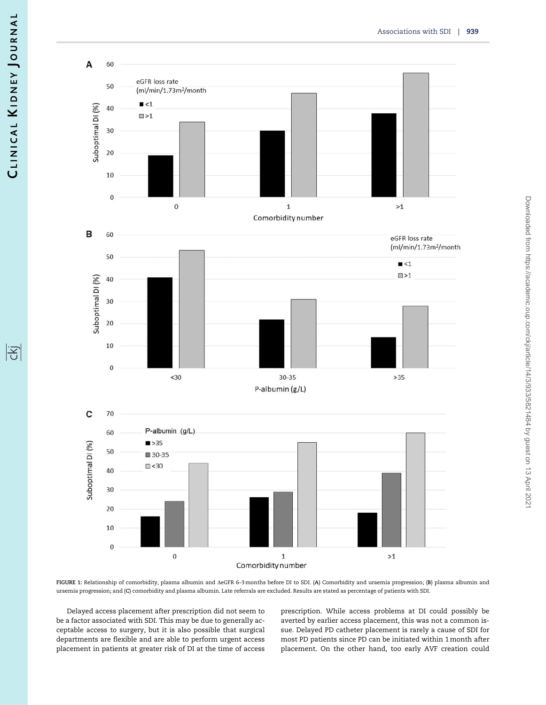<span id="page-6-0"></span>

FIGURE 1: Relationship of comorbidity, plasma albumin and AeGFR 6-3 months before DI to SDI. (A) Comorbidity and uraemia progression; (B) plasma albumin and uraemia progression; and (C) comorbidity and plasma albumin. Late referrals are excluded. Results are stated as percentage of patients with SDI.

Delayed access placement after prescription did not seem to be a factor associated with SDI. This may be due to generally acceptable access to surgery, but it is also possible that surgical departments are flexible and are able to perform urgent access placement in patients at greater risk of DI at the time of access prescription. While access problems at DI could possibly be averted by earlier access placement, this was not a common issue. Delayed PD catheter placement is rarely a cause of SDI for most PD patients since PD can be initiated within 1 month after placement. On the other hand, too early AVF creation could

|공

Downloaded from https://academic.oup.com/ckj/article/14/3/933/5821484 by guest on 13 April 2021 Downloaded from https://academic.oup.com/ckj/article/14/3/933/5821484 by guest on 13 April 2021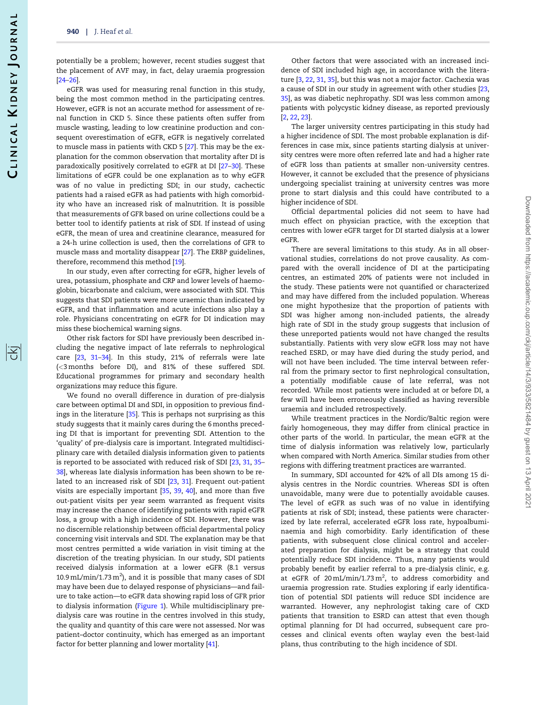<span id="page-7-0"></span>potentially be a problem; however, recent studies suggest that the placement of AVF may, in fact, delay uraemia progression [\[24–26\]](#page-8-0).

eGFR was used for measuring renal function in this study, being the most common method in the participating centres. However, eGFR is not an accurate method for assessment of renal function in CKD 5. Since these patients often suffer from muscle wasting, leading to low creatinine production and consequent overestimation of eGFR, eGFR is negatively correlated to muscle mass in patients with CKD 5 [[27\]](#page-8-0). This may be the explanation for the common observation that mortality after DI is paradoxically positively correlated to eGFR at DI [[27–30\]](#page-8-0). These limitations of eGFR could be one explanation as to why eGFR was of no value in predicting SDI; in our study, cachectic patients had a raised eGFR as had patients with high comorbidity who have an increased risk of malnutrition. It is possible that measurements of GFR based on urine collections could be a better tool to identify patients at risk of SDI. If instead of using eGFR, the mean of urea and creatinine clearance, measured for a 24-h urine collection is used, then the correlations of GFR to muscle mass and mortality disappear [\[27](#page-8-0)]. The ERBP guidelines, therefore, recommend this method [[19](#page-8-0)].

In our study, even after correcting for eGFR, higher levels of urea, potassium, phosphate and CRP and lower levels of haemoglobin, bicarbonate and calcium, were associated with SDI. This suggests that SDI patients were more uraemic than indicated by eGFR, and that inflammation and acute infections also play a role. Physicians concentrating on eGFR for DI indication may miss these biochemical warning signs.

Other risk factors for SDI have previously been described including the negative impact of late referrals to nephrological care [\[23,](#page-8-0) [31](#page-9-0)–[34](#page-9-0)]. In this study, 21% of referrals were late (<3 months before DI), and 81% of these suffered SDI. Educational programmes for primary and secondary health organizations may reduce this figure.

We found no overall difference in duration of pre-dialysis care between optimal DI and SDI, in opposition to previous findings in the literature [\[35](#page-9-0)]. This is perhaps not surprising as this study suggests that it mainly cares during the 6 months preceding DI that is important for preventing SDI. Attention to the 'quality' of pre-dialysis care is important. Integrated multidisciplinary care with detailed dialysis information given to patients is reported to be associated with reduced risk of SDI [[23](#page-8-0), [31,](#page-9-0) [35](#page-9-0)– [38](#page-9-0)], whereas late dialysis information has been shown to be related to an increased risk of SDI [\[23,](#page-8-0) [31](#page-9-0)]. Frequent out-patient visits are especially important [[35](#page-9-0), [39](#page-9-0), [40\]](#page-9-0), and more than five out-patient visits per year seem warranted as frequent visits may increase the chance of identifying patients with rapid eGFR loss, a group with a high incidence of SDI. However, there was no discernible relationship between official departmental policy concerning visit intervals and SDI. The explanation may be that most centres permitted a wide variation in visit timing at the discretion of the treating physician. In our study, SDI patients received dialysis information at a lower eGFR (8.1 versus  $10.9\,\mathrm{mL/min}/1.73\,\mathrm{m}^2$ ), and it is possible that many cases of SDI may have been due to delayed response of physicians—and failure to take action—to eGFR data showing rapid loss of GFR prior to dialysis information ([Figure 1\)](#page-6-0). While multidisciplinary predialysis care was routine in the centres involved in this study, the quality and quantity of this care were not assessed. Nor was patient–doctor continuity, which has emerged as an important factor for better planning and lower mortality [\[41\]](#page-9-0).

Other factors that were associated with an increased incidence of SDI included high age, in accordance with the literature [[3,](#page-8-0) [22](#page-8-0), [31](#page-9-0), [35\]](#page-9-0), but this was not a major factor. Cachexia was a cause of SDI in our study in agreement with other studies [[23](#page-8-0), [35](#page-9-0)], as was diabetic nephropathy. SDI was less common among patients with polycystic kidney disease, as reported previously [\[2,](#page-8-0) [22,](#page-8-0) [23](#page-8-0)].

The larger university centres participating in this study had a higher incidence of SDI. The most probable explanation is differences in case mix, since patients starting dialysis at university centres were more often referred late and had a higher rate of eGFR loss than patients at smaller non-university centres. However, it cannot be excluded that the presence of physicians undergoing specialist training at university centres was more prone to start dialysis and this could have contributed to a higher incidence of SDI.

Official departmental policies did not seem to have had much effect on physician practice, with the exception that centres with lower eGFR target for DI started dialysis at a lower eGFR.

There are several limitations to this study. As in all observational studies, correlations do not prove causality. As compared with the overall incidence of DI at the participating centres, an estimated 20% of patients were not included in the study. These patients were not quantified or characterized and may have differed from the included population. Whereas one might hypothesize that the proportion of patients with SDI was higher among non-included patients, the already high rate of SDI in the study group suggests that inclusion of these unreported patients would not have changed the results substantially. Patients with very slow eGFR loss may not have reached ESRD, or may have died during the study period, and will not have been included. The time interval between referral from the primary sector to first nephrological consultation, a potentially modifiable cause of late referral, was not recorded. While most patients were included at or before DI, a few will have been erroneously classified as having reversible uraemia and included retrospectively.

While treatment practices in the Nordic/Baltic region were fairly homogeneous, they may differ from clinical practice in other parts of the world. In particular, the mean eGFR at the time of dialysis information was relatively low, particularly when compared with North America. Similar studies from other regions with differing treatment practices are warranted.

In summary, SDI accounted for 42% of all DIs among 15 dialysis centres in the Nordic countries. Whereas SDI is often unavoidable, many were due to potentially avoidable causes. The level of eGFR as such was of no value in identifying patients at risk of SDI; instead, these patients were characterized by late referral, accelerated eGFR loss rate, hypoalbuminaemia and high comorbidity. Early identification of these patients, with subsequent close clinical control and accelerated preparation for dialysis, might be a strategy that could potentially reduce SDI incidence. Thus, many patients would probably benefit by earlier referral to a pre-dialysis clinic, e.g. at eGFR of  $20 \text{ mL/min}/1.73 \text{ m}^2$ , to address comorbidity and uraemia progression rate. Studies exploring if early identification of potential SDI patients will reduce SDI incidence are warranted. However, any nephrologist taking care of CKD patients that transition to ESRD can attest that even though optimal planning for DI had occurred, subsequent care processes and clinical events often waylay even the best-laid plans, thus contributing to the high incidence of SDI.

序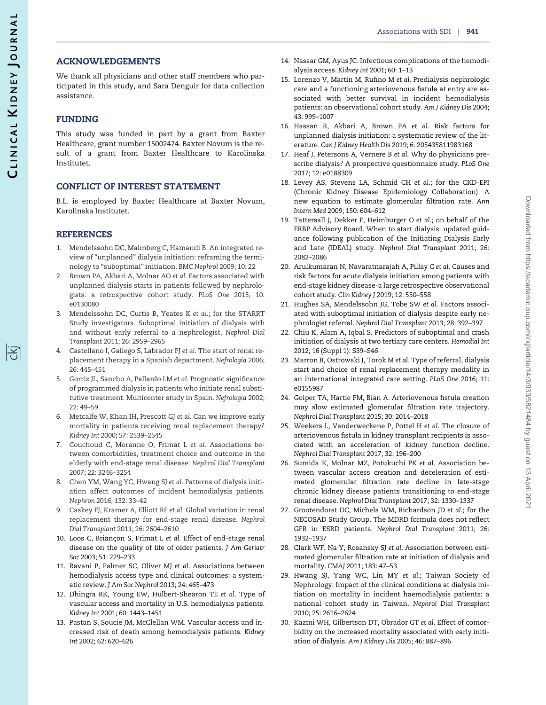## <span id="page-8-0"></span>ACKNOWLEDGEMENTS

We thank all physicians and other staff members who participated in this study, and Sara Denguir for data collection assistance.

## FUNDING

This study was funded in part by a grant from Baxter Healthcare, grant number 15002474. Baxter Novum is the result of a grant from Baxter Healthcare to Karolinska Institutet.

## CONFLICT OF INTEREST STATEMENT

B.L. is employed by Baxter Healthcare at Baxter Novum, Karolinska Institutet.

## **REFERENCES**

- [1](#page-1-0). Mendelssohn DC, Malmberg C, Hamandi B. An integrated review of "unplanned" dialysis initiation: reframing the terminology to "suboptimal" initiation. BMC Nephrol 2009; 10: 22
- [2](#page-1-0). Brown PA, Akbari A, Molnar AO et al. Factors associated with unplanned dialysis starts in patients followed by nephrologists: a retrospective cohort study. PLoS One 2015; 10: e0130080
- [3](#page-1-0). Mendelssohn DC, Curtis B, Yeates K et al.; for the STARRT Study investigators. Suboptimal initiation of dialysis with and without early referral to a nephrologist. Nephrol Dial Transplant 2011; 26: 2959–2965
- 4. Castellano I, Gallego S, Labrador PJ et al. The start of renal replacement therapy in a Spanish department. Nefrologia 2006; 26: 445–451
- [5](#page-1-0). Gorriz JL, Sancho A, Pallardo LM et al. Prognostic significance of programmed dialysis in patients who initiate renal substitutive treatment. Multicenter study in Spain. Nefrologia 2002;  $22: 49 - 59$
- 6. Metcalfe W, Khan IH, Prescott GJ et al. Can we improve early mortality in patients receiving renal replacement therapy? Kidney Int 2000; 57: 2539–2545
- 7. Couchoud C, Moranne O, Frimat L et al. Associations between comorbidities, treatment choice and outcome in the elderly with end-stage renal disease. Nephrol Dial Transplant 2007; 22: 3246–3254
- 8. Chen YM, Wang YC, Hwang SJ et al. Patterns of dialysis initiation affect outcomes of incident hemodialysis patients. Nephron 2016; 132: 33–42
- [9](#page-1-0). Caskey FJ, Kramer A, Elliott RF et al. Global variation in renal replacement therapy for end-stage renal disease. Nephrol Dial Transplant 2011; 26: 2604–2610
- [10](#page-1-0). Loos C, Briançon S, Frimat L et al. Effect of end-stage renal disease on the quality of life of older patients. J Am Geriatr Soc 2003; 51: 229–233
- 11. Ravani P, Palmer SC, Oliver MJ et al. Associations between hemodialysis access type and clinical outcomes: a systematic review. J Am Soc Nephrol 2013; 24: 465–473
- 12. Dhingra RK, Young EW, Hulbert-Shearon TE et al. Type of vascular access and mortality in U.S. hemodialysis patients. Kidney Int 2001; 60: 1443–1451
- 13. Pastan S, Soucie JM, McClellan WM. Vascular access and increased risk of death among hemodialysis patients. Kidney Int 2002; 62: 620–626
- 14. Nassar GM, Ayus JC. Infectious complications of the hemodialysis access. Kidney Int 2001; 60: 1–13
- 15. Lorenzo V, Martín M, Rufino M et al. Predialysis nephrologic care and a functioning arteriovenous fistula at entry are associated with better survival in incident hemodialysis patients: an observational cohort study. Am J Kidney Dis 2004; 43: 999–1007
- [16](#page-1-0). Hassan R, Akbari A, Brown PA et al. Risk factors for unplanned dialysis initiation: a systematic review of the literature. Can J Kidney Health Dis 2019; 6: 205435811983168
- [17](#page-1-0). Heaf J, Petersons A, Vernere B et al. Why do physicians prescribe dialysis? A prospective questionnaire study. PLoS One 2017; 12: e0188309
- [18](#page-1-0). Levey AS, Stevens LA, Schmid CH et al.; for the CKD-EPI (Chronic Kidney Disease Epidemiology Collaboration). A new equation to estimate glomerular filtration rate. Ann Intern Med 2009; 150: 604–612
- [19](#page-1-0). Tattersall J, Dekker F, Heimburger O et al.; on behalf of the ERBP Advisory Board. When to start dialysis: updated guidance following publication of the Initiating Dialysis Early and Late (IDEAL) study. Nephrol Dial Transplant 2011; 26: 2082–2086
- [20](#page-4-0). Arulkumaran N, Navaratnarajah A, Pillay C et al. Causes and risk factors for acute dialysis initiation among patients with end-stage kidney disease-a large retrospective observational cohort study. Clin Kidney J 2019; 12: 550–558
- [21](#page-4-0). Hughes SA, Mendelssohn JG, Tobe SW et al. Factors associated with suboptimal initiation of dialysis despite early nephrologist referral. Nephrol Dial Transplant 2013; 28: 392–397
- [22](#page-5-0). Chiu K, Alam A, Iqbal S. Predictors of suboptimal and crash initiation of dialysis at two tertiary care centers. Hemodial Int 2012; 16 (Suppl 1): S39–S46
- [23](#page-5-0). Marron B, Ostrowski J, Torok M et al. Type of referral, dialysis start and choice of renal replacement therapy modality in an international integrated care setting. PLoS One 2016; 11: e0155987
- 24. Golper TA, Hartle PM, Bian A. Arteriovenous fistula creation may slow estimated glomerular filtration rate trajectory. Nephrol Dial Transplant 2015; 30: 2014–2018
- 25. Weekers L, Vanderweckene P, Pottel H et al. The closure of arteriovenous fistula in kidney transplant recipients is associated with an acceleration of kidney function decline. Nephrol Dial Transplant 2017; 32: 196–200
- 26. Sumida K, Molnar MZ, Potukuchi PK et al. Association between vascular access creation and deceleration of estimated glomerular filtration rate decline in late-stage chronic kidney disease patients transitioning to end-stage renal disease. Nephrol Dial Transplant 2017; 32: 1330–1337
- [27](#page-7-0). Grootendorst DC, Michels WM, Richardson JD et al.; for the NECOSAD Study Group. The MDRD formula does not reflect GFR in ESRD patients. Nephrol Dial Transplant 2011; 26: 1932–1937
- 28. Clark WF, Na Y, Rosansky SJ et al. Association between estimated glomerular filtration rate at initiation of dialysis and mortality. CMAJ 2011; 183: 47–53
- 29. Hwang SJ, Yang WC, Lin MY et al.; Taiwan Society of Nephrology. Impact of the clinical conditions at dialysis initiation on mortality in incident haemodialysis patients: a national cohort study in Taiwan. Nephrol Dial Transplant 2010; 25: 2616–2624
- 30. Kazmi WH, Gilbertson DT, Obrador GT et al. Effect of comorbidity on the increased mortality associated with early initiation of dialysis. Am J Kidney Dis 2005; 46: 887–896